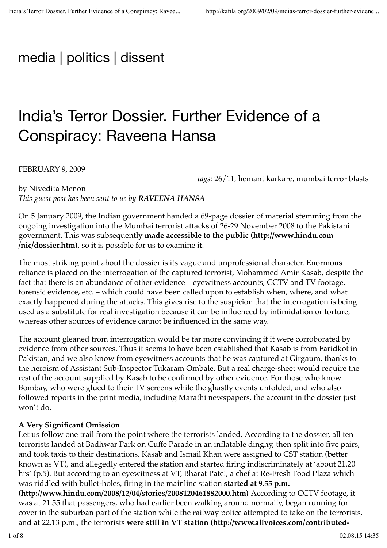# media | politics | dissent

# India's Terror Dossier. Further Evidence of a Conspiracy: Raveena Hansa

FEBRUARY 9, 2009

*tags:* 26/11*,* hemant karkare*,* mumbai terror blasts

by Nivedita Menon *This guest post has been sent to us by RAVEENA HANSA*

On 5 January 2009, the Indian government handed a 69-page dossier of material stemming from the ongoing investigation into the Mumbai terrorist attacks of 26-29 November 2008 to the Pakistani government. This was subsequently **made accessible to the public (http://www.hindu.com /nic/dossier.htm)**, so it is possible for us to examine it.

The most striking point about the dossier is its vague and unprofessional character. Enormous reliance is placed on the interrogation of the captured terrorist, Mohammed Amir Kasab, despite the fact that there is an abundance of other evidence – eyewitness accounts, CCTV and TV footage, forensic evidence, etc. – which could have been called upon to establish when, where, and what exactly happened during the attacks. This gives rise to the suspicion that the interrogation is being used as a substitute for real investigation because it can be influenced by intimidation or torture, whereas other sources of evidence cannot be influenced in the same way.

The account gleaned from interrogation would be far more convincing if it were corroborated by evidence from other sources. Thus it seems to have been established that Kasab is from Faridkot in Pakistan, and we also know from eyewitness accounts that he was captured at Girgaum, thanks to the heroism of Assistant Sub-Inspector Tukaram Ombale. But a real charge-sheet would require the rest of the account supplied by Kasab to be confirmed by other evidence. For those who know Bombay, who were glued to their TV screens while the ghastly events unfolded, and who also followed reports in the print media, including Marathi newspapers, the account in the dossier just won't do.

### **A Very Significant Omission**

Let us follow one trail from the point where the terrorists landed. According to the dossier, all ten terrorists landed at Badhwar Park on Cuffe Parade in an inflatable dinghy, then split into five pairs, and took taxis to their destinations. Kasab and Ismail Khan were assigned to CST station (better known as VT), and allegedly entered the station and started firing indiscriminately at 'about 21.20 hrs' (p.5). But according to an eyewitness at VT, Bharat Patel, a chef at Re-Fresh Food Plaza which was riddled with bullet-holes, firing in the mainline station **started at 9.55 p.m.**

**(http://www.hindu.com/2008/12/04/stories/2008120461882000.htm)** According to CCTV footage, it was at 21.55 that passengers, who had earlier been walking around normally, began running for cover in the suburban part of the station while the railway police attempted to take on the terrorists, and at 22.13 p.m., the terrorists **were still in VT station (http://www.allvoices.com/contributed-**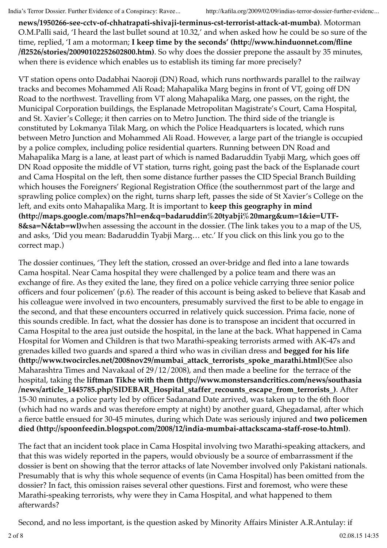**news/1950266-see-cctv-of-chhatrapati-shivaji-terminus-cst-terrorist-attack-at-mumba)**. Motorman O.M.Palli said, 'I heard the last bullet sound at 10.32,' and when asked how he could be so sure of the time, replied, 'I am a motorman; **I keep time by the seconds' (http://www.hinduonnet.com/fline /fl2526/stories/20090102252602800.htm)**. So why does the dossier prepone the assault by 35 minutes, when there is evidence which enables us to establish its timing far more precisely?

VT station opens onto Dadabhai Naoroji (DN) Road, which runs northwards parallel to the railway tracks and becomes Mohammed Ali Road; Mahapalika Marg begins in front of VT, going off DN Road to the northwest. Travelling from VT along Mahapalika Marg, one passes, on the right, the Municipal Corporation buildings, the Esplanade Metropolitan Magistrate's Court, Cama Hospital, and St. Xavier's College; it then carries on to Metro Junction. The third side of the triangle is constituted by Lokmanya Tilak Marg, on which the Police Headquarters is located, which runs between Metro Junction and Mohammed Ali Road. However, a large part of the triangle is occupied by a police complex, including police residential quarters. Running between DN Road and Mahapalika Marg is a lane, at least part of which is named Badaruddin Tyabji Marg, which goes off DN Road opposite the middle of VT station, turns right, going past the back of the Esplanade court and Cama Hospital on the left, then some distance further passes the CID Special Branch Building which houses the Foreigners' Regional Registration Office (the southernmost part of the large and sprawling police complex) on the right, turns sharp left, passes the side of St Xavier's College on the left, and exits onto Mahapalika Marg. It is important to **keep this geography in mind (http://maps.google.com/maps?hl=en&q=badaruddin%20tyabji%20marg&um=1&ie=UTF-8&sa=N&tab=wl)**when assessing the account in the dossier. (The link takes you to a map of the US, and asks, 'Did you mean: Badaruddin Tyabji Marg… etc.' If you click on this link you go to the correct map.)

The dossier continues, 'They left the station, crossed an over-bridge and fled into a lane towards Cama hospital. Near Cama hospital they were challenged by a police team and there was an exchange of fire. As they exited the lane, they fired on a police vehicle carrying three senior police officers and four policemen' (p.6). The reader of this account is being asked to believe that Kasab and his colleague were involved in two encounters, presumably survived the first to be able to engage in the second, and that these encounters occurred in relatively quick succession. Prima facie, none of this sounds credible. In fact, what the dossier has done is to transpose an incident that occurred in Cama Hospital to the area just outside the hospital, in the lane at the back. What happened in Cama Hospital for Women and Children is that two Marathi-speaking terrorists armed with AK-47s and grenades killed two guards and spared a third who was in civilian dress and **begged for his life (http://www.twocircles.net/2008nov29/mumbai\_attack\_terrorists\_spoke\_marathi.html)**(See also Maharashtra Times and Navakaal of 29/12/2008), and then made a beeline for the terrace of the hospital, taking the **liftman Tikhe with them (http://www.monstersandcritics.com/news/southasia /news/article\_1445785.php/SIDEBAR\_Hospital\_staffer\_recounts\_escape\_from\_terrorists\_)**. After 15-30 minutes, a police party led by officer Sadanand Date arrived, was taken up to the 6th floor (which had no wards and was therefore empty at night) by another guard, Ghegadamal, after which a fierce battle ensued for 30-45 minutes, during which Date was seriously injured and **two policemen died (http://spoonfeedin.blogspot.com/2008/12/india-mumbai-attackscama-staff-rose-to.html)**.

The fact that an incident took place in Cama Hospital involving two Marathi-speaking attackers, and that this was widely reported in the papers, would obviously be a source of embarrassment if the dossier is bent on showing that the terror attacks of late November involved only Pakistani nationals. Presumably that is why this whole sequence of events (in Cama Hospital) has been omitted from the dossier? In fact, this omission raises several other questions. First and foremost, who were these Marathi-speaking terrorists, why were they in Cama Hospital, and what happened to them afterwards?

Second, and no less important, is the question asked by Minority Affairs Minister A.R.Antulay: if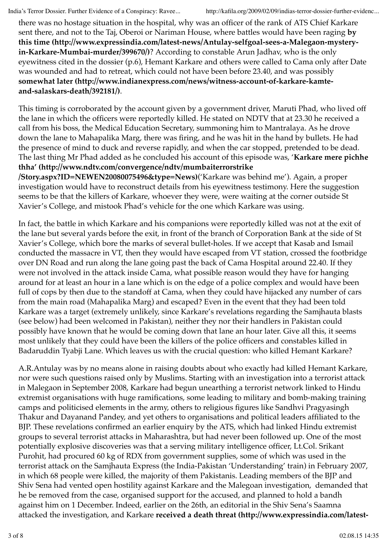India's Terror Dossier. Further Evidence of a Conspiracy: Ravee... http://kafila.org/2009/02/09/indias-terror-dossier-further-evidenc...

there was no hostage situation in the hospital, why was an officer of the rank of ATS Chief Karkare sent there, and not to the Taj, Oberoi or Nariman House, where battles would have been raging **by this time (http://www.expressindia.com/latest-news/Antulay-selfgoal-sees-a-Malegaon-mysteryin-Karkare-Mumbai-murder/399670/)**? According to constable Arun Jadhav, who is the only eyewitness cited in the dossier (p.6), Hemant Karkare and others were called to Cama only after Date was wounded and had to retreat, which could not have been before 23.40, and was possibly **somewhat later (http://www.indianexpress.com/news/witness-account-of-karkare-kamteand-salaskars-death/392181/)**.

This timing is corroborated by the account given by a government driver, Maruti Phad, who lived off the lane in which the officers were reportedly killed. He stated on NDTV that at 23.30 he received a call from his boss, the Medical Education Secretary, summoning him to Mantralaya. As he drove down the lane to Mahapalika Marg, there was firing, and he was hit in the hand by bullets. He had the presence of mind to duck and reverse rapidly, and when the car stopped, pretended to be dead. The last thing Mr Phad added as he concluded his account of this episode was, '**Karkare mere pichhe thha' (http://www.ndtv.com/convergence/ndtv/mumbaiterrorstrike**

**/Story.aspx?ID=NEWEN20080075496&type=News)**('Karkare was behind me'). Again, a proper investigation would have to reconstruct details from his eyewitness testimony. Here the suggestion seems to be that the killers of Karkare, whoever they were, were waiting at the corner outside St Xavier's College, and mistook Phad's vehicle for the one which Karkare was using.

In fact, the battle in which Karkare and his companions were reportedly killed was not at the exit of the lane but several yards before the exit, in front of the branch of Corporation Bank at the side of St Xavier's College, which bore the marks of several bullet-holes. If we accept that Kasab and Ismail conducted the massacre in VT, then they would have escaped from VT station, crossed the footbridge over DN Road and run along the lane going past the back of Cama Hospital around 22.40. If they were not involved in the attack inside Cama, what possible reason would they have for hanging around for at least an hour in a lane which is on the edge of a police complex and would have been full of cops by then due to the standoff at Cama, when they could have hijacked any number of cars from the main road (Mahapalika Marg) and escaped? Even in the event that they had been told Karkare was a target (extremely unlikely, since Karkare's revelations regarding the Samjhauta blasts (see below) had been welcomed in Pakistan), neither they nor their handlers in Pakistan could possibly have known that he would be coming down that lane an hour later. Give all this, it seems most unlikely that they could have been the killers of the police officers and constables killed in Badaruddin Tyabji Lane. Which leaves us with the crucial question: who killed Hemant Karkare?

A.R.Antulay was by no means alone in raising doubts about who exactly had killed Hemant Karkare, nor were such questions raised only by Muslims. Starting with an investigation into a terrorist attack in Malegaon in September 2008, Karkare had begun unearthing a terrorist network linked to Hindu extremist organisations with huge ramifications, some leading to military and bomb-making training camps and politicised elements in the army, others to religious figures like Sandhvi Pragyasingh Thakur and Dayanand Pandey, and yet others to organisations and political leaders affiliated to the BJP. These revelations confirmed an earlier enquiry by the ATS, which had linked Hindu extremist groups to several terrorist attacks in Maharashtra, but had never been followed up. One of the most potentially explosive discoveries was that a serving military intelligence officer, Lt.Col. Srikant Purohit, had procured 60 kg of RDX from government supplies, some of which was used in the terrorist attack on the Samjhauta Express (the India-Pakistan 'Understanding' train) in February 2007, in which 68 people were killed, the majority of them Pakistanis. Leading members of the BJP and Shiv Sena had vented open hostility against Karkare and the Malegoan investigation, demanded that he be removed from the case, organised support for the accused, and planned to hold a bandh against him on 1 December. Indeed, earlier on the 26th, an editorial in the Shiv Sena's Saamna attacked the investigation, and Karkare **received a death threat (http://www.expressindia.com/latest-**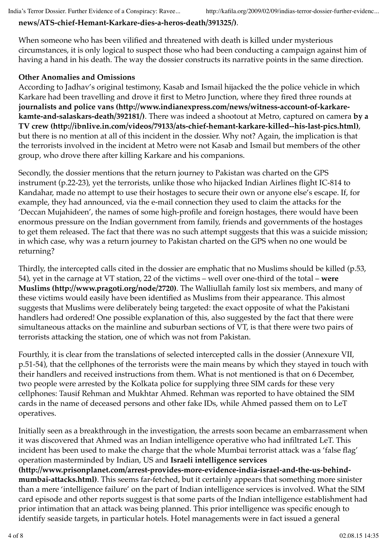#### **news/ATS-chief-Hemant-Karkare-dies-a-heros-death/391325/)**.

When someone who has been vilified and threatened with death is killed under mysterious circumstances, it is only logical to suspect those who had been conducting a campaign against him of having a hand in his death. The way the dossier constructs its narrative points in the same direction.

#### **Other Anomalies and Omissions**

According to Jadhav's original testimony, Kasab and Ismail hijacked the the police vehicle in which Karkare had been travelling and drove it first to Metro Junction, where they fired three rounds at **journalists and police vans (http://www.indianexpress.com/news/witness-account-of-karkarekamte-and-salaskars-death/392181/)**. There was indeed a shootout at Metro, captured on camera **by a TV crew (http://ibnlive.in.com/videos/79133/ats-chief-hemant-karkare-killed--his-last-pics.html)**, but there is no mention at all of this incident in the dossier. Why not? Again, the implication is that the terrorists involved in the incident at Metro were not Kasab and Ismail but members of the other group, who drove there after killing Karkare and his companions.

Secondly, the dossier mentions that the return journey to Pakistan was charted on the GPS instrument (p.22-23), yet the terrorists, unlike those who hijacked Indian Airlines flight IC-814 to Kandahar, made no attempt to use their hostages to secure their own or anyone else's escape. If, for example, they had announced, via the e-mail connection they used to claim the attacks for the 'Deccan Mujahideen', the names of some high-profile and foreign hostages, there would have been enormous pressure on the Indian government from family, friends and governments of the hostages to get them released. The fact that there was no such attempt suggests that this was a suicide mission; in which case, why was a return journey to Pakistan charted on the GPS when no one would be returning?

Thirdly, the intercepted calls cited in the dossier are emphatic that no Muslims should be killed (p.53, 54), yet in the carnage at VT station, 22 of the victims – well over one-third of the total – **were Muslims (http://www.pragoti.org/node/2720)**. The Walliullah family lost six members, and many of these victims would easily have been identified as Muslims from their appearance. This almost suggests that Muslims were deliberately being targeted: the exact opposite of what the Pakistani handlers had ordered! One possible explanation of this, also suggested by the fact that there were simultaneous attacks on the mainline and suburban sections of VT, is that there were two pairs of terrorists attacking the station, one of which was not from Pakistan.

Fourthly, it is clear from the translations of selected intercepted calls in the dossier (Annexure VII, p.51-54), that the cellphones of the terrorists were the main means by which they stayed in touch with their handlers and received instructions from them. What is not mentioned is that on 6 December, two people were arrested by the Kolkata police for supplying three SIM cards for these very cellphones: Tausif Rehman and Mukhtar Ahmed. Rehman was reported to have obtained the SIM cards in the name of deceased persons and other fake IDs, while Ahmed passed them on to LeT operatives.

Initially seen as a breakthrough in the investigation, the arrests soon became an embarrassment when it was discovered that Ahmed was an Indian intelligence operative who had infiltrated LeT. This incident has been used to make the charge that the whole Mumbai terrorist attack was a 'false flag' operation masterminded by Indian, US and **Israeli intelligence services (http://www.prisonplanet.com/arrest-provides-more-evidence-india-israel-and-the-us-behindmumbai-attacks.html)**. This seems far-fetched, but it certainly appears that something more sinister than a mere 'intelligence failure' on the part of Indian intelligence services is involved. What the SIM card episode and other reports suggest is that some parts of the Indian intelligence establishment had prior intimation that an attack was being planned. This prior intelligence was specific enough to identify seaside targets, in particular hotels. Hotel managements were in fact issued a general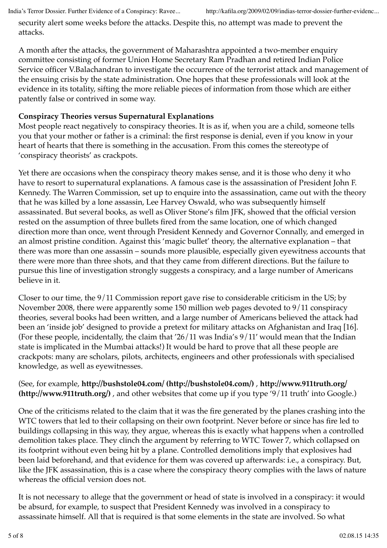security alert some weeks before the attacks. Despite this, no attempt was made to prevent the attacks.

A month after the attacks, the government of Maharashtra appointed a two-member enquiry committee consisting of former Union Home Secretary Ram Pradhan and retired Indian Police Service officer V.Balachandran to investigate the occurrence of the terrorist attack and management of the ensuing crisis by the state administration. One hopes that these professionals will look at the evidence in its totality, sifting the more reliable pieces of information from those which are either patently false or contrived in some way.

#### **Conspiracy Theories versus Supernatural Explanations**

Most people react negatively to conspiracy theories. It is as if, when you are a child, someone tells you that your mother or father is a criminal: the first response is denial, even if you know in your heart of hearts that there is something in the accusation. From this comes the stereotype of 'conspiracy theorists' as crackpots.

Yet there are occasions when the conspiracy theory makes sense, and it is those who deny it who have to resort to supernatural explanations. A famous case is the assassination of President John F. Kennedy. The Warren Commission, set up to enquire into the assassination, came out with the theory that he was killed by a lone assassin, Lee Harvey Oswald, who was subsequently himself assassinated. But several books, as well as Oliver Stone's film JFK, showed that the official version rested on the assumption of three bullets fired from the same location, one of which changed direction more than once, went through President Kennedy and Governor Connally, and emerged in an almost pristine condition. Against this 'magic bullet' theory, the alternative explanation – that there was more than one assassin – sounds more plausible, especially given eyewitness accounts that there were more than three shots, and that they came from different directions. But the failure to pursue this line of investigation strongly suggests a conspiracy, and a large number of Americans believe in it.

Closer to our time, the 9/11 Commission report gave rise to considerable criticism in the US; by November 2008, there were apparently some 150 million web pages devoted to 9/11 conspiracy theories, several books had been written, and a large number of Americans believed the attack had been an 'inside job' designed to provide a pretext for military attacks on Afghanistan and Iraq [16]. (For these people, incidentally, the claim that '26/11 was India's 9/11′ would mean that the Indian state is implicated in the Mumbai attacks!) It would be hard to prove that all these people are crackpots: many are scholars, pilots, architects, engineers and other professionals with specialised knowledge, as well as eyewitnesses.

(See, for example, **http://bushstole04.com/ (http://bushstole04.com/)** , **http://www.911truth.org/ (http://www.911truth.org/)** , and other websites that come up if you type '9/11 truth' into Google.)

One of the criticisms related to the claim that it was the fire generated by the planes crashing into the WTC towers that led to their collapsing on their own footprint. Never before or since has fire led to buildings collapsing in this way, they argue, whereas this is exactly what happens when a controlled demolition takes place. They clinch the argument by referring to WTC Tower 7, which collapsed on its footprint without even being hit by a plane. Controlled demolitions imply that explosives had been laid beforehand, and that evidence for them was covered up afterwards: i.e., a conspiracy. But, like the JFK assassination, this is a case where the conspiracy theory complies with the laws of nature whereas the official version does not.

It is not necessary to allege that the government or head of state is involved in a conspiracy: it would be absurd, for example, to suspect that President Kennedy was involved in a conspiracy to assassinate himself. All that is required is that some elements in the state are involved. So what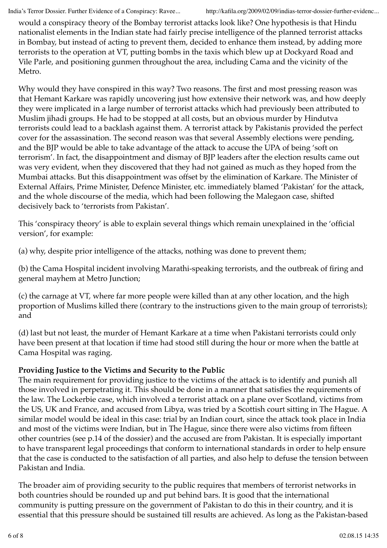would a conspiracy theory of the Bombay terrorist attacks look like? One hypothesis is that Hindu nationalist elements in the Indian state had fairly precise intelligence of the planned terrorist attacks in Bombay, but instead of acting to prevent them, decided to enhance them instead, by adding more terrorists to the operation at VT, putting bombs in the taxis which blew up at Dockyard Road and Vile Parle, and positioning gunmen throughout the area, including Cama and the vicinity of the Metro.

Why would they have conspired in this way? Two reasons. The first and most pressing reason was that Hemant Karkare was rapidly uncovering just how extensive their network was, and how deeply they were implicated in a large number of terrorist attacks which had previously been attributed to Muslim jihadi groups. He had to be stopped at all costs, but an obvious murder by Hindutva terrorists could lead to a backlash against them. A terrorist attack by Pakistanis provided the perfect cover for the assassination. The second reason was that several Assembly elections were pending, and the BJP would be able to take advantage of the attack to accuse the UPA of being 'soft on terrorism'. In fact, the disappointment and dismay of BJP leaders after the election results came out was very evident, when they discovered that they had not gained as much as they hoped from the Mumbai attacks. But this disappointment was offset by the elimination of Karkare. The Minister of External Affairs, Prime Minister, Defence Minister, etc. immediately blamed 'Pakistan' for the attack, and the whole discourse of the media, which had been following the Malegaon case, shifted decisively back to 'terrorists from Pakistan'.

This 'conspiracy theory' is able to explain several things which remain unexplained in the 'official version', for example:

(a) why, despite prior intelligence of the attacks, nothing was done to prevent them;

(b) the Cama Hospital incident involving Marathi-speaking terrorists, and the outbreak of firing and general mayhem at Metro Junction;

(c) the carnage at VT, where far more people were killed than at any other location, and the high proportion of Muslims killed there (contrary to the instructions given to the main group of terrorists); and

(d) last but not least, the murder of Hemant Karkare at a time when Pakistani terrorists could only have been present at that location if time had stood still during the hour or more when the battle at Cama Hospital was raging.

#### **Providing Justice to the Victims and Security to the Public**

The main requirement for providing justice to the victims of the attack is to identify and punish all those involved in perpetrating it. This should be done in a manner that satisfies the requirements of the law. The Lockerbie case, which involved a terrorist attack on a plane over Scotland, victims from the US, UK and France, and accused from Libya, was tried by a Scottish court sitting in The Hague. A similar model would be ideal in this case: trial by an Indian court, since the attack took place in India and most of the victims were Indian, but in The Hague, since there were also victims from fifteen other countries (see p.14 of the dossier) and the accused are from Pakistan. It is especially important to have transparent legal proceedings that conform to international standards in order to help ensure that the case is conducted to the satisfaction of all parties, and also help to defuse the tension between Pakistan and India.

The broader aim of providing security to the public requires that members of terrorist networks in both countries should be rounded up and put behind bars. It is good that the international community is putting pressure on the government of Pakistan to do this in their country, and it is essential that this pressure should be sustained till results are achieved. As long as the Pakistan-based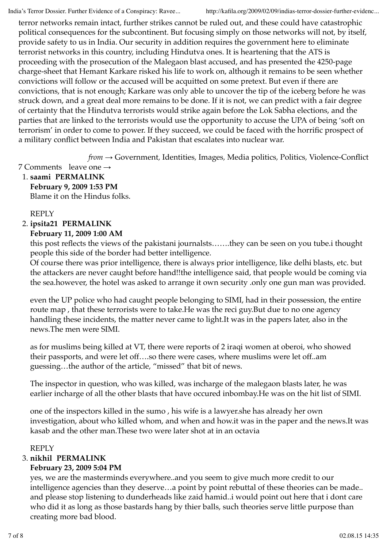terror networks remain intact, further strikes cannot be ruled out, and these could have catastrophic political consequences for the subcontinent. But focusing simply on those networks will not, by itself, provide safety to us in India. Our security in addition requires the government here to eliminate terrorist networks in this country, including Hindutva ones. It is heartening that the ATS is proceeding with the prosecution of the Malegaon blast accused, and has presented the 4250-page charge-sheet that Hemant Karkare risked his life to work on, although it remains to be seen whether convictions will follow or the accused will be acquitted on some pretext. But even if there are convictions, that is not enough; Karkare was only able to uncover the tip of the iceberg before he was struck down, and a great deal more remains to be done. If it is not, we can predict with a fair degree of certainty that the Hindutva terrorists would strike again before the Lok Sabha elections, and the parties that are linked to the terrorists would use the opportunity to accuse the UPA of being 'soft on terrorism' in order to come to power. If they succeed, we could be faced with the horrific prospect of a military conflict between India and Pakistan that escalates into nuclear war.

*from →* Government*,* Identities*,* Images*,* Media politics*,* Politics*,* Violence-Conflict

- 7 Comments leave one  $\rightarrow$
- **saami PERMALINK** 1. **February 9, 2009 1:53 PM** Blame it on the Hindus folks.

#### REPLY

**ipsita21 PERMALINK** 2.

#### **February 11, 2009 1:00 AM**

this post reflects the views of the pakistani journalsts…….they can be seen on you tube.i thought people this side of the border had better intelligence.

Of course there was prior intelligence, there is always prior intelligence, like delhi blasts, etc. but the attackers are never caught before hand!!the intelligence said, that people would be coming via the sea.however, the hotel was asked to arrange it own security .only one gun man was provided.

even the UP police who had caught people belonging to SIMI, had in their possession, the entire route map , that these terrorists were to take.He was the reci guy.But due to no one agency handling these incidents, the matter never came to light.It was in the papers later, also in the news.The men were SIMI.

as for muslims being killed at VT, there were reports of 2 iraqi women at oberoi, who showed their passports, and were let off….so there were cases, where muslims were let off..am guessing…the author of the article, "missed" that bit of news.

The inspector in question, who was killed, was incharge of the malegaon blasts later, he was earlier incharge of all the other blasts that have occured inbombay.He was on the hit list of SIMI.

one of the inspectors killed in the sumo , his wife is a lawyer.she has already her own investigation, about who killed whom, and when and how.it was in the paper and the news.It was kasab and the other man.These two were later shot at in an octavia

#### REPLY

#### **nikhil PERMALINK** 3.

#### **February 23, 2009 5:04 PM**

yes, we are the masterminds everywhere..and you seem to give much more credit to our intelligence agencies than they deserve…a point by point rebuttal of these theories can be made.. and please stop listening to dunderheads like zaid hamid..i would point out here that i dont care who did it as long as those bastards hang by thier balls, such theories serve little purpose than creating more bad blood.